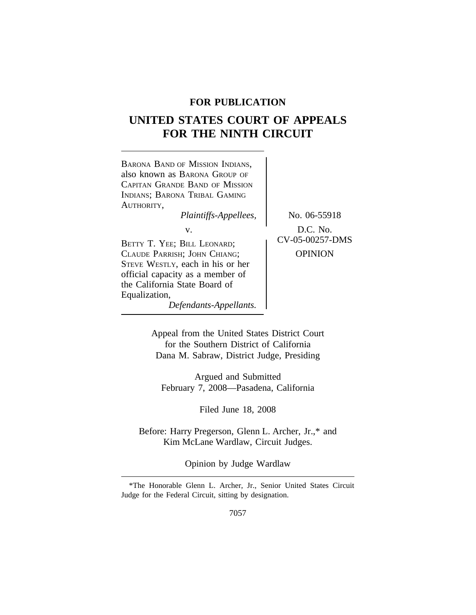# **FOR PUBLICATION**

# **UNITED STATES COURT OF APPEALS FOR THE NINTH CIRCUIT**



Appeal from the United States District Court for the Southern District of California Dana M. Sabraw, District Judge, Presiding

Argued and Submitted February 7, 2008—Pasadena, California

Filed June 18, 2008

Before: Harry Pregerson, Glenn L. Archer, Jr.,\* and Kim McLane Wardlaw, Circuit Judges.

Opinion by Judge Wardlaw

<sup>\*</sup>The Honorable Glenn L. Archer, Jr., Senior United States Circuit Judge for the Federal Circuit, sitting by designation.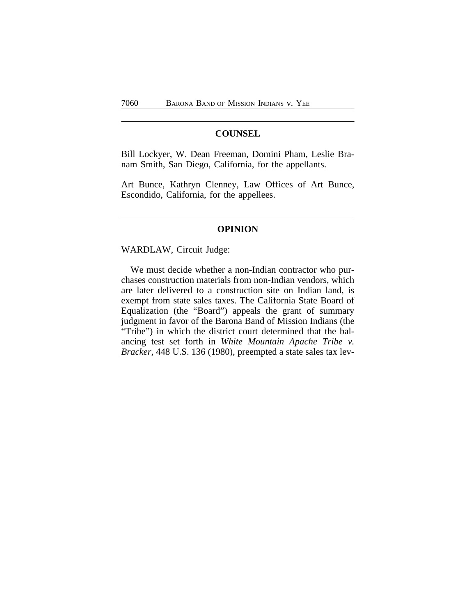## **COUNSEL**

Bill Lockyer, W. Dean Freeman, Domini Pham, Leslie Branam Smith, San Diego, California, for the appellants.

Art Bunce, Kathryn Clenney, Law Offices of Art Bunce, Escondido, California, for the appellees.

#### **OPINION**

WARDLAW, Circuit Judge:

We must decide whether a non-Indian contractor who purchases construction materials from non-Indian vendors, which are later delivered to a construction site on Indian land, is exempt from state sales taxes. The California State Board of Equalization (the "Board") appeals the grant of summary judgment in favor of the Barona Band of Mission Indians (the "Tribe") in which the district court determined that the balancing test set forth in *White Mountain Apache Tribe v. Bracker*, 448 U.S. 136 (1980), preempted a state sales tax lev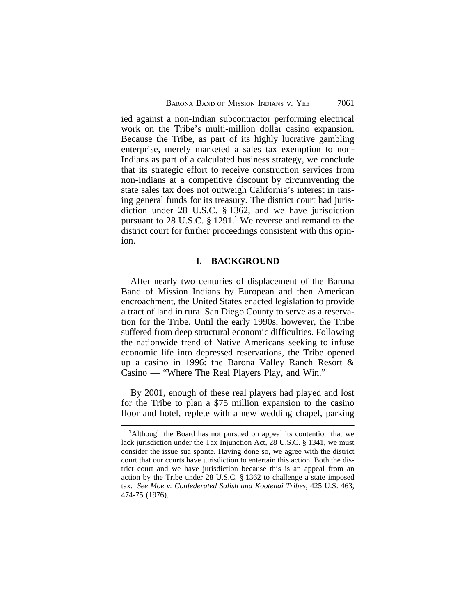ied against a non-Indian subcontractor performing electrical work on the Tribe's multi-million dollar casino expansion. Because the Tribe, as part of its highly lucrative gambling enterprise, merely marketed a sales tax exemption to non-Indians as part of a calculated business strategy, we conclude that its strategic effort to receive construction services from non-Indians at a competitive discount by circumventing the state sales tax does not outweigh California's interest in raising general funds for its treasury. The district court had jurisdiction under 28 U.S.C. § 1362, and we have jurisdiction pursuant to 28 U.S.C. § 1291.**<sup>1</sup>** We reverse and remand to the district court for further proceedings consistent with this opinion.

# **I. BACKGROUND**

After nearly two centuries of displacement of the Barona Band of Mission Indians by European and then American encroachment, the United States enacted legislation to provide a tract of land in rural San Diego County to serve as a reservation for the Tribe. Until the early 1990s, however, the Tribe suffered from deep structural economic difficulties. Following the nationwide trend of Native Americans seeking to infuse economic life into depressed reservations, the Tribe opened up a casino in 1996: the Barona Valley Ranch Resort & Casino — "Where The Real Players Play, and Win."

By 2001, enough of these real players had played and lost for the Tribe to plan a \$75 million expansion to the casino floor and hotel, replete with a new wedding chapel, parking

**<sup>1</sup>**Although the Board has not pursued on appeal its contention that we lack jurisdiction under the Tax Injunction Act, 28 U.S.C. § 1341, we must consider the issue sua sponte. Having done so, we agree with the district court that our courts have jurisdiction to entertain this action. Both the district court and we have jurisdiction because this is an appeal from an action by the Tribe under 28 U.S.C. § 1362 to challenge a state imposed tax. *See Moe v. Confederated Salish and Kootenai Tribes*, 425 U.S. 463, 474-75 (1976).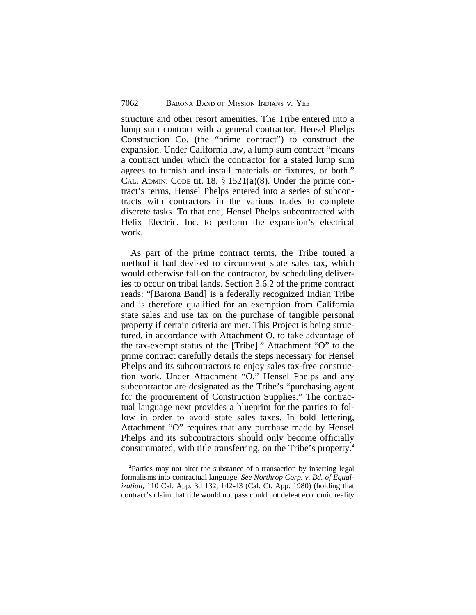structure and other resort amenities. The Tribe entered into a lump sum contract with a general contractor, Hensel Phelps Construction Co. (the "prime contract") to construct the expansion. Under California law, a lump sum contract "means a contract under which the contractor for a stated lump sum agrees to furnish and install materials or fixtures, or both." CAL. ADMIN. CODE tit. 18,  $\S$  1521(a)(8). Under the prime contract's terms, Hensel Phelps entered into a series of subcontracts with contractors in the various trades to complete discrete tasks. To that end, Hensel Phelps subcontracted with Helix Electric, Inc. to perform the expansion's electrical work.

As part of the prime contract terms, the Tribe touted a method it had devised to circumvent state sales tax, which would otherwise fall on the contractor, by scheduling deliveries to occur on tribal lands. Section 3.6.2 of the prime contract reads: "[Barona Band] is a federally recognized Indian Tribe and is therefore qualified for an exemption from California state sales and use tax on the purchase of tangible personal property if certain criteria are met. This Project is being structured, in accordance with Attachment O, to take advantage of the tax-exempt status of the [Tribe]." Attachment "O" to the prime contract carefully details the steps necessary for Hensel Phelps and its subcontractors to enjoy sales tax-free construction work. Under Attachment "O," Hensel Phelps and any subcontractor are designated as the Tribe's "purchasing agent for the procurement of Construction Supplies." The contractual language next provides a blueprint for the parties to follow in order to avoid state sales taxes. In bold lettering, Attachment "O" requires that any purchase made by Hensel Phelps and its subcontractors should only become officially consummated, with title transferring, on the Tribe's property.**<sup>2</sup>**

**<sup>2</sup>**Parties may not alter the substance of a transaction by inserting legal formalisms into contractual language. *See Northrop Corp. v. Bd. of Equalization*, 110 Cal. App. 3d 132, 142-43 (Cal. Ct. App. 1980) (holding that contract's claim that title would not pass could not defeat economic reality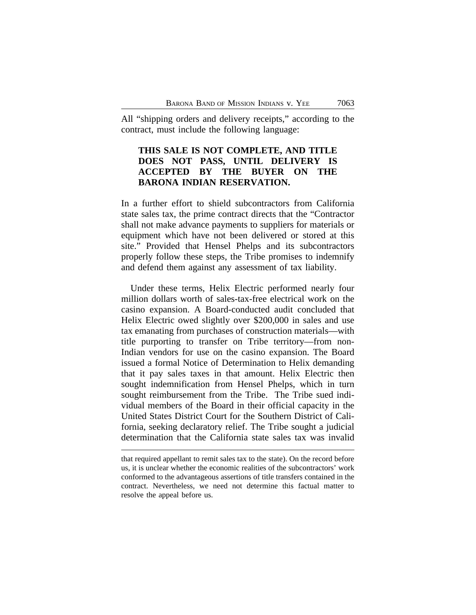All "shipping orders and delivery receipts," according to the contract, must include the following language:

# **THIS SALE IS NOT COMPLETE, AND TITLE DOES NOT PASS, UNTIL DELIVERY IS ACCEPTED BY THE BUYER ON THE BARONA INDIAN RESERVATION.**

In a further effort to shield subcontractors from California state sales tax, the prime contract directs that the "Contractor shall not make advance payments to suppliers for materials or equipment which have not been delivered or stored at this site." Provided that Hensel Phelps and its subcontractors properly follow these steps, the Tribe promises to indemnify and defend them against any assessment of tax liability.

Under these terms, Helix Electric performed nearly four million dollars worth of sales-tax-free electrical work on the casino expansion. A Board-conducted audit concluded that Helix Electric owed slightly over \$200,000 in sales and use tax emanating from purchases of construction materials—with title purporting to transfer on Tribe territory—from non-Indian vendors for use on the casino expansion. The Board issued a formal Notice of Determination to Helix demanding that it pay sales taxes in that amount. Helix Electric then sought indemnification from Hensel Phelps, which in turn sought reimbursement from the Tribe. The Tribe sued individual members of the Board in their official capacity in the United States District Court for the Southern District of California, seeking declaratory relief. The Tribe sought a judicial determination that the California state sales tax was invalid

that required appellant to remit sales tax to the state). On the record before us, it is unclear whether the economic realities of the subcontractors' work conformed to the advantageous assertions of title transfers contained in the contract. Nevertheless, we need not determine this factual matter to resolve the appeal before us.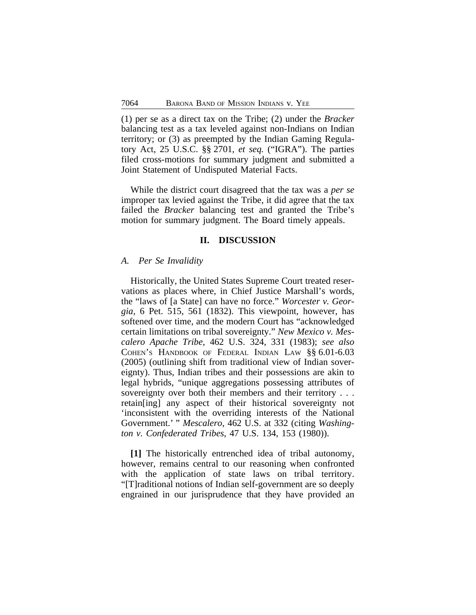(1) per se as a direct tax on the Tribe; (2) under the *Bracker* balancing test as a tax leveled against non-Indians on Indian territory; or (3) as preempted by the Indian Gaming Regulatory Act, 25 U.S.C. §§ 2701, *et seq.* ("IGRA"). The parties filed cross-motions for summary judgment and submitted a Joint Statement of Undisputed Material Facts.

While the district court disagreed that the tax was a *per se* improper tax levied against the Tribe, it did agree that the tax failed the *Bracker* balancing test and granted the Tribe's motion for summary judgment. The Board timely appeals.

## **II. DISCUSSION**

#### *A. Per Se Invalidity*

Historically, the United States Supreme Court treated reservations as places where, in Chief Justice Marshall's words, the "laws of [a State] can have no force." *Worcester v. Georgia*, 6 Pet. 515, 561 (1832). This viewpoint, however, has softened over time, and the modern Court has "acknowledged certain limitations on tribal sovereignty." *New Mexico v. Mescalero Apache Tribe*, 462 U.S. 324, 331 (1983); *see also* COHEN'S HANDBOOK OF FEDERAL INDIAN LAW §§ 6.01-6.03 (2005) (outlining shift from traditional view of Indian sovereignty). Thus, Indian tribes and their possessions are akin to legal hybrids, "unique aggregations possessing attributes of sovereignty over both their members and their territory . . . retain[ing] any aspect of their historical sovereignty not 'inconsistent with the overriding interests of the National Government.' " *Mescalero*, 462 U.S. at 332 (citing *Washington v. Confederated Tribes*, 47 U.S. 134, 153 (1980)).

**[1]** The historically entrenched idea of tribal autonomy, however, remains central to our reasoning when confronted with the application of state laws on tribal territory. "[T]raditional notions of Indian self-government are so deeply engrained in our jurisprudence that they have provided an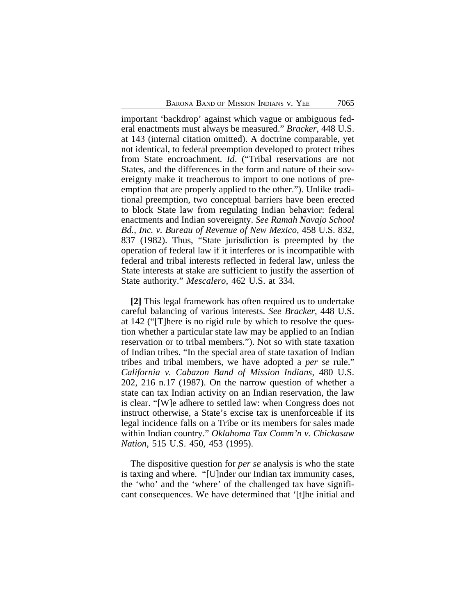important 'backdrop' against which vague or ambiguous federal enactments must always be measured." *Bracker*, 448 U.S. at 143 (internal citation omitted). A doctrine comparable, yet not identical, to federal preemption developed to protect tribes from State encroachment. *Id*. ("Tribal reservations are not States, and the differences in the form and nature of their sovereignty make it treacherous to import to one notions of preemption that are properly applied to the other."). Unlike traditional preemption, two conceptual barriers have been erected to block State law from regulating Indian behavior: federal enactments and Indian sovereignty. *See Ramah Navajo School Bd., Inc. v. Bureau of Revenue of New Mexico*, 458 U.S. 832, 837 (1982). Thus, "State jurisdiction is preempted by the operation of federal law if it interferes or is incompatible with federal and tribal interests reflected in federal law, unless the State interests at stake are sufficient to justify the assertion of State authority." *Mescalero*, 462 U.S. at 334.

**[2]** This legal framework has often required us to undertake careful balancing of various interests. *See Bracker*, 448 U.S. at 142 ("[T]here is no rigid rule by which to resolve the question whether a particular state law may be applied to an Indian reservation or to tribal members."). Not so with state taxation of Indian tribes. "In the special area of state taxation of Indian tribes and tribal members, we have adopted a *per se* rule." *California v. Cabazon Band of Mission Indians*, 480 U.S. 202, 216 n.17 (1987). On the narrow question of whether a state can tax Indian activity on an Indian reservation, the law is clear. "[W]e adhere to settled law: when Congress does not instruct otherwise, a State's excise tax is unenforceable if its legal incidence falls on a Tribe or its members for sales made within Indian country." *Oklahoma Tax Comm'n v. Chickasaw Nation*, 515 U.S. 450, 453 (1995).

The dispositive question for *per se* analysis is who the state is taxing and where. "[U]nder our Indian tax immunity cases, the 'who' and the 'where' of the challenged tax have significant consequences. We have determined that '[t]he initial and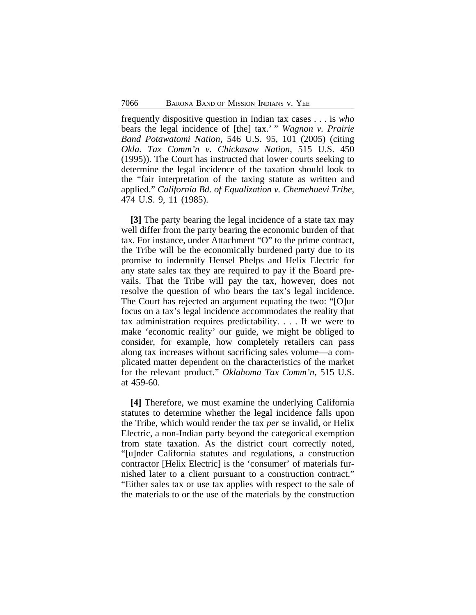frequently dispositive question in Indian tax cases . . . is *who* bears the legal incidence of [the] tax.' " *Wagnon v. Prairie Band Potawatomi Nation*, 546 U.S. 95, 101 (2005) (citing *Okla. Tax Comm'n v. Chickasaw Nation*, 515 U.S. 450 (1995)). The Court has instructed that lower courts seeking to determine the legal incidence of the taxation should look to the "fair interpretation of the taxing statute as written and applied." *California Bd. of Equalization v. Chemehuevi Tribe*, 474 U.S. 9, 11 (1985).

**[3]** The party bearing the legal incidence of a state tax may well differ from the party bearing the economic burden of that tax. For instance, under Attachment "O" to the prime contract, the Tribe will be the economically burdened party due to its promise to indemnify Hensel Phelps and Helix Electric for any state sales tax they are required to pay if the Board prevails. That the Tribe will pay the tax, however, does not resolve the question of who bears the tax's legal incidence. The Court has rejected an argument equating the two: "[O]ur focus on a tax's legal incidence accommodates the reality that tax administration requires predictability. . . . If we were to make 'economic reality' our guide, we might be obliged to consider, for example, how completely retailers can pass along tax increases without sacrificing sales volume—a complicated matter dependent on the characteristics of the market for the relevant product." *Oklahoma Tax Comm'n*, 515 U.S. at 459-60.

**[4]** Therefore, we must examine the underlying California statutes to determine whether the legal incidence falls upon the Tribe, which would render the tax *per se* invalid, or Helix Electric, a non-Indian party beyond the categorical exemption from state taxation. As the district court correctly noted, "[u]nder California statutes and regulations, a construction contractor [Helix Electric] is the 'consumer' of materials furnished later to a client pursuant to a construction contract." "Either sales tax or use tax applies with respect to the sale of the materials to or the use of the materials by the construction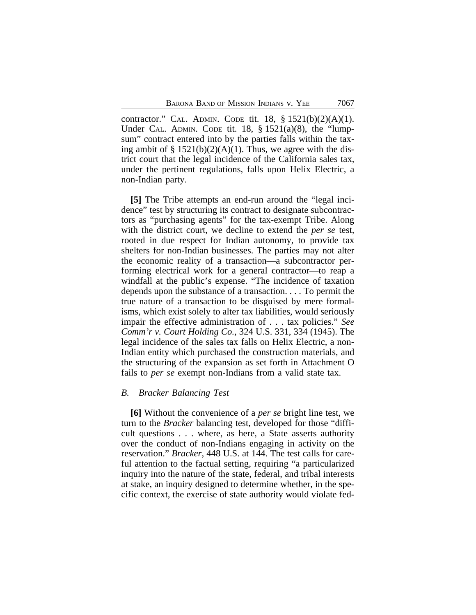contractor." CAL. ADMIN. CODE tit. 18, § 1521(b)(2)(A)(1). Under CAL. ADMIN. CODE tit.  $18$ ,  $\S$   $1521(a)(8)$ , the "lumpsum" contract entered into by the parties falls within the taxing ambit of  $\S 1521(b)(2)(A)(1)$ . Thus, we agree with the district court that the legal incidence of the California sales tax, under the pertinent regulations, falls upon Helix Electric, a non-Indian party.

**[5]** The Tribe attempts an end-run around the "legal incidence" test by structuring its contract to designate subcontractors as "purchasing agents" for the tax-exempt Tribe. Along with the district court, we decline to extend the *per se* test, rooted in due respect for Indian autonomy, to provide tax shelters for non-Indian businesses. The parties may not alter the economic reality of a transaction—a subcontractor performing electrical work for a general contractor—to reap a windfall at the public's expense. "The incidence of taxation depends upon the substance of a transaction. . . . To permit the true nature of a transaction to be disguised by mere formalisms, which exist solely to alter tax liabilities, would seriously impair the effective administration of . . . tax policies." *See Comm'r v. Court Holding Co.*, 324 U.S. 331, 334 (1945). The legal incidence of the sales tax falls on Helix Electric, a non-Indian entity which purchased the construction materials, and the structuring of the expansion as set forth in Attachment O fails to *per se* exempt non-Indians from a valid state tax.

#### *B. Bracker Balancing Test*

**[6]** Without the convenience of a *per se* bright line test, we turn to the *Bracker* balancing test, developed for those "difficult questions . . . where, as here, a State asserts authority over the conduct of non-Indians engaging in activity on the reservation." *Bracker*, 448 U.S. at 144. The test calls for careful attention to the factual setting, requiring "a particularized inquiry into the nature of the state, federal, and tribal interests at stake, an inquiry designed to determine whether, in the specific context, the exercise of state authority would violate fed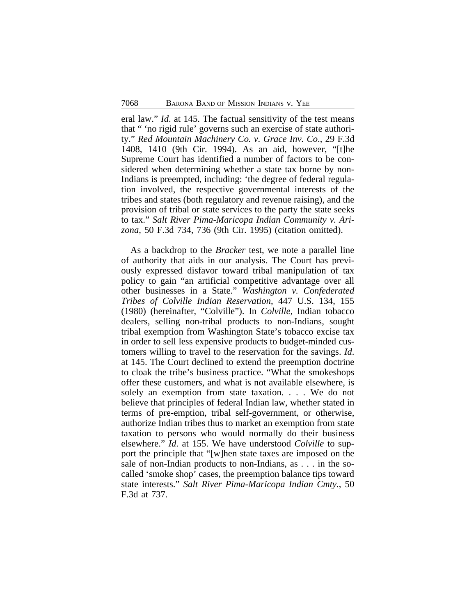eral law." *Id*. at 145. The factual sensitivity of the test means that " 'no rigid rule' governs such an exercise of state authority." *Red Mountain Machinery Co. v. Grace Inv. Co*., 29 F.3d 1408, 1410 (9th Cir. 1994). As an aid, however, "[t]he Supreme Court has identified a number of factors to be considered when determining whether a state tax borne by non-Indians is preempted, including: 'the degree of federal regulation involved, the respective governmental interests of the tribes and states (both regulatory and revenue raising), and the provision of tribal or state services to the party the state seeks to tax." *Salt River Pima-Maricopa Indian Community v. Arizona*, 50 F.3d 734, 736 (9th Cir. 1995) (citation omitted).

As a backdrop to the *Bracker* test, we note a parallel line of authority that aids in our analysis. The Court has previously expressed disfavor toward tribal manipulation of tax policy to gain "an artificial competitive advantage over all other businesses in a State." *Washington v. Confederated Tribes of Colville Indian Reservation*, 447 U.S. 134, 155 (1980) (hereinafter, "Colville"). In *Colville*, Indian tobacco dealers, selling non-tribal products to non-Indians, sought tribal exemption from Washington State's tobacco excise tax in order to sell less expensive products to budget-minded customers willing to travel to the reservation for the savings. *Id*. at 145. The Court declined to extend the preemption doctrine to cloak the tribe's business practice. "What the smokeshops offer these customers, and what is not available elsewhere, is solely an exemption from state taxation. . . . We do not believe that principles of federal Indian law, whether stated in terms of pre-emption, tribal self-government, or otherwise, authorize Indian tribes thus to market an exemption from state taxation to persons who would normally do their business elsewhere." *Id*. at 155. We have understood *Colville* to support the principle that "[w]hen state taxes are imposed on the sale of non-Indian products to non-Indians, as . . . in the socalled 'smoke shop' cases, the preemption balance tips toward state interests." *Salt River Pima-Maricopa Indian Cmty.*, 50 F.3d at 737.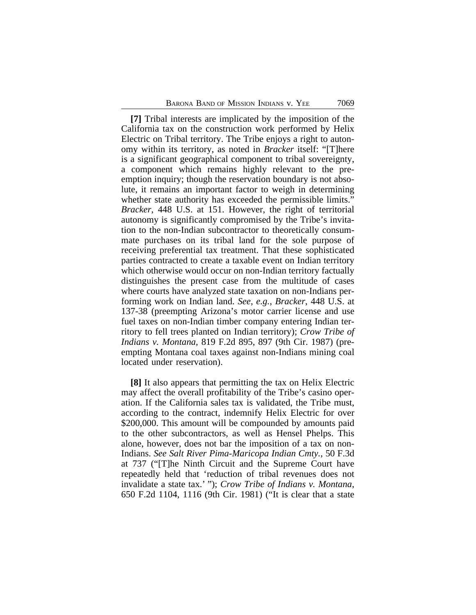**[7]** Tribal interests are implicated by the imposition of the California tax on the construction work performed by Helix Electric on Tribal territory. The Tribe enjoys a right to autonomy within its territory, as noted in *Bracker* itself: "[T]here is a significant geographical component to tribal sovereignty, a component which remains highly relevant to the preemption inquiry; though the reservation boundary is not absolute, it remains an important factor to weigh in determining whether state authority has exceeded the permissible limits." *Bracker*, 448 U.S. at 151. However, the right of territorial autonomy is significantly compromised by the Tribe's invitation to the non-Indian subcontractor to theoretically consummate purchases on its tribal land for the sole purpose of receiving preferential tax treatment. That these sophisticated parties contracted to create a taxable event on Indian territory which otherwise would occur on non-Indian territory factually distinguishes the present case from the multitude of cases where courts have analyzed state taxation on non-Indians performing work on Indian land. *See*, *e.g.*, *Bracker*, 448 U.S. at 137-38 (preempting Arizona's motor carrier license and use fuel taxes on non-Indian timber company entering Indian territory to fell trees planted on Indian territory); *Crow Tribe of Indians v. Montana*, 819 F.2d 895, 897 (9th Cir. 1987) (preempting Montana coal taxes against non-Indians mining coal located under reservation).

**[8]** It also appears that permitting the tax on Helix Electric may affect the overall profitability of the Tribe's casino operation. If the California sales tax is validated, the Tribe must, according to the contract, indemnify Helix Electric for over \$200,000. This amount will be compounded by amounts paid to the other subcontractors, as well as Hensel Phelps. This alone, however, does not bar the imposition of a tax on non-Indians. *See Salt River Pima-Maricopa Indian Cmty.*, 50 F.3d at 737 ("[T]he Ninth Circuit and the Supreme Court have repeatedly held that 'reduction of tribal revenues does not invalidate a state tax.' "); *Crow Tribe of Indians v. Montana*, 650 F.2d 1104, 1116 (9th Cir. 1981) ("It is clear that a state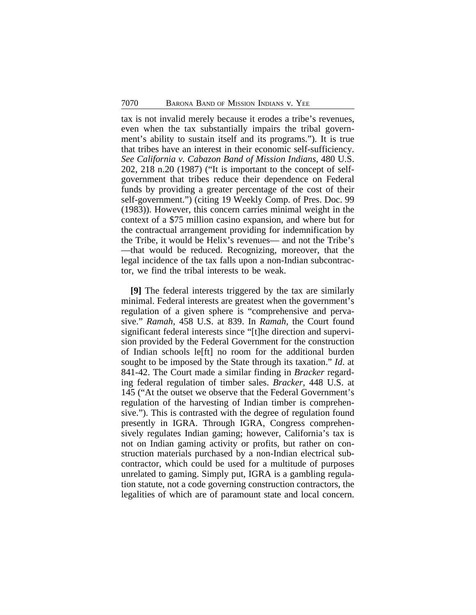tax is not invalid merely because it erodes a tribe's revenues, even when the tax substantially impairs the tribal government's ability to sustain itself and its programs."). It is true that tribes have an interest in their economic self-sufficiency. *See California v. Cabazon Band of Mission Indians*, 480 U.S. 202, 218 n.20 (1987) ("It is important to the concept of selfgovernment that tribes reduce their dependence on Federal funds by providing a greater percentage of the cost of their self-government.") (citing 19 Weekly Comp. of Pres. Doc. 99 (1983)). However, this concern carries minimal weight in the context of a \$75 million casino expansion, and where but for the contractual arrangement providing for indemnification by the Tribe, it would be Helix's revenues— and not the Tribe's —that would be reduced. Recognizing, moreover, that the legal incidence of the tax falls upon a non-Indian subcontractor, we find the tribal interests to be weak.

**[9]** The federal interests triggered by the tax are similarly minimal. Federal interests are greatest when the government's regulation of a given sphere is "comprehensive and pervasive." *Ramah*, 458 U.S. at 839. In *Ramah*, the Court found significant federal interests since "[t]he direction and supervision provided by the Federal Government for the construction of Indian schools le[ft] no room for the additional burden sought to be imposed by the State through its taxation." *Id*. at 841-42. The Court made a similar finding in *Bracker* regarding federal regulation of timber sales. *Bracker*, 448 U.S. at 145 ("At the outset we observe that the Federal Government's regulation of the harvesting of Indian timber is comprehensive."). This is contrasted with the degree of regulation found presently in IGRA. Through IGRA, Congress comprehensively regulates Indian gaming; however, California's tax is not on Indian gaming activity or profits, but rather on construction materials purchased by a non-Indian electrical subcontractor, which could be used for a multitude of purposes unrelated to gaming. Simply put, IGRA is a gambling regulation statute, not a code governing construction contractors, the legalities of which are of paramount state and local concern.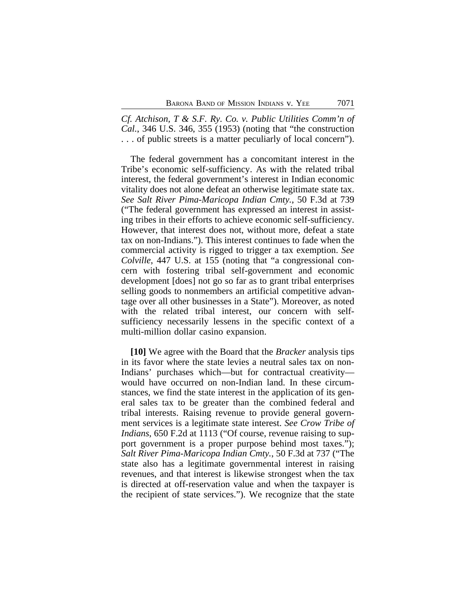*Cf. Atchison, T & S.F. Ry. Co. v. Public Utilities Comm'n of Cal.*, 346 U.S. 346, 355 (1953) (noting that "the construction . . . of public streets is a matter peculiarly of local concern").

The federal government has a concomitant interest in the Tribe's economic self-sufficiency. As with the related tribal interest, the federal government's interest in Indian economic vitality does not alone defeat an otherwise legitimate state tax. *See Salt River Pima-Maricopa Indian Cmty.*, 50 F.3d at 739 ("The federal government has expressed an interest in assisting tribes in their efforts to achieve economic self-sufficiency. However, that interest does not, without more, defeat a state tax on non-Indians."). This interest continues to fade when the commercial activity is rigged to trigger a tax exemption. *See Colville*, 447 U.S. at 155 (noting that "a congressional concern with fostering tribal self-government and economic development [does] not go so far as to grant tribal enterprises selling goods to nonmembers an artificial competitive advantage over all other businesses in a State"). Moreover, as noted with the related tribal interest, our concern with selfsufficiency necessarily lessens in the specific context of a multi-million dollar casino expansion.

**[10]** We agree with the Board that the *Bracker* analysis tips in its favor where the state levies a neutral sales tax on non-Indians' purchases which—but for contractual creativity would have occurred on non-Indian land. In these circumstances, we find the state interest in the application of its general sales tax to be greater than the combined federal and tribal interests. Raising revenue to provide general government services is a legitimate state interest. *See Crow Tribe of Indians*, 650 F.2d at 1113 ("Of course, revenue raising to support government is a proper purpose behind most taxes."); *Salt River Pima-Maricopa Indian Cmty.*, 50 F.3d at 737 ("The state also has a legitimate governmental interest in raising revenues, and that interest is likewise strongest when the tax is directed at off-reservation value and when the taxpayer is the recipient of state services."). We recognize that the state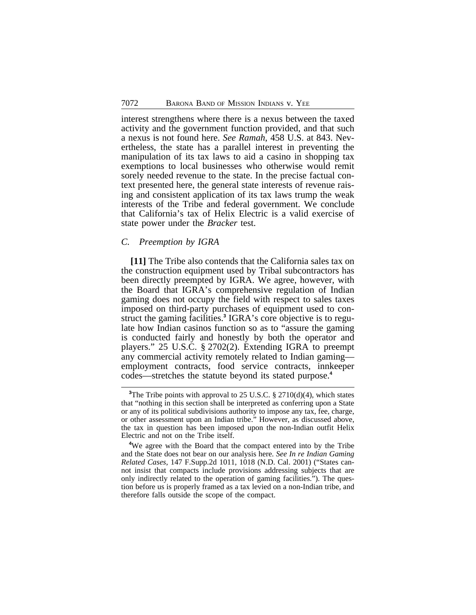interest strengthens where there is a nexus between the taxed activity and the government function provided, and that such a nexus is not found here. *See Ramah*, 458 U.S. at 843. Nevertheless, the state has a parallel interest in preventing the manipulation of its tax laws to aid a casino in shopping tax exemptions to local businesses who otherwise would remit sorely needed revenue to the state. In the precise factual context presented here, the general state interests of revenue raising and consistent application of its tax laws trump the weak interests of the Tribe and federal government. We conclude that California's tax of Helix Electric is a valid exercise of state power under the *Bracker* test.

#### *C. Preemption by IGRA*

**[11]** The Tribe also contends that the California sales tax on the construction equipment used by Tribal subcontractors has been directly preempted by IGRA. We agree, however, with the Board that IGRA's comprehensive regulation of Indian gaming does not occupy the field with respect to sales taxes imposed on third-party purchases of equipment used to construct the gaming facilities.**<sup>3</sup>** IGRA's core objective is to regulate how Indian casinos function so as to "assure the gaming is conducted fairly and honestly by both the operator and players." 25 U.S.C. § 2702(2). Extending IGRA to preempt any commercial activity remotely related to Indian gaming employment contracts, food service contracts, innkeeper codes—stretches the statute beyond its stated purpose.**<sup>4</sup>**

<sup>&</sup>lt;sup>3</sup>The Tribe points with approval to 25 U.S.C. § 2710(d)(4), which states that "nothing in this section shall be interpreted as conferring upon a State or any of its political subdivisions authority to impose any tax, fee, charge, or other assessment upon an Indian tribe." However, as discussed above, the tax in question has been imposed upon the non-Indian outfit Helix Electric and not on the Tribe itself.

**<sup>4</sup>**We agree with the Board that the compact entered into by the Tribe and the State does not bear on our analysis here. *See In re Indian Gaming Related Cases*, 147 F.Supp.2d 1011, 1018 (N.D. Cal. 2001) ("States cannot insist that compacts include provisions addressing subjects that are only indirectly related to the operation of gaming facilities."). The question before us is properly framed as a tax levied on a non-Indian tribe, and therefore falls outside the scope of the compact.